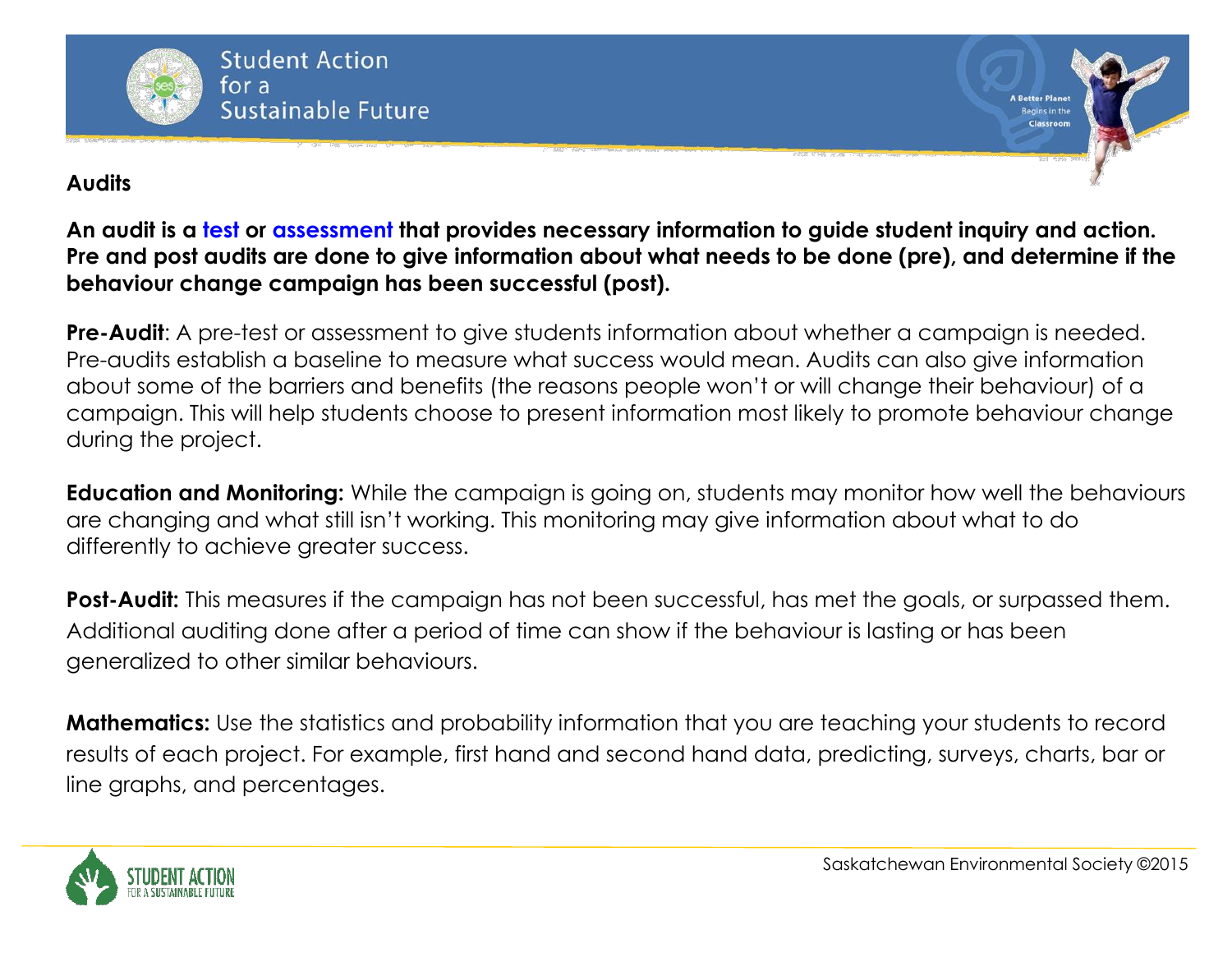

#### **Audits**

**An audit is a test or assessment that provides necessary information to guide student inquiry and action. Pre and post audits are done to give information about what needs to be done (pre), and determine if the behaviour change campaign has been successful (post).** 

**Pre-Audit:** A pre-test or assessment to give students information about whether a campaign is needed. Pre-audits establish a baseline to measure what success would mean. Audits can also give information about some of the barriers and benefits (the reasons people won't or will change their behaviour) of a campaign. This will help students choose to present information most likely to promote behaviour change during the project.

**Education and Monitoring:** While the campaign is going on, students may monitor how well the behaviours are changing and what still isn't working. This monitoring may give information about what to do differently to achieve greater success.

**Post-Audit:** This measures if the campaign has not been successful, has met the goals, or surpassed them. Additional auditing done after a period of time can show if the behaviour is lasting or has been generalized to other similar behaviours.

**Mathematics:** Use the statistics and probability information that you are teaching your students to record results of each project. For example, first hand and second hand data, predicting, surveys, charts, bar or line graphs, and percentages.



**A Better Plane**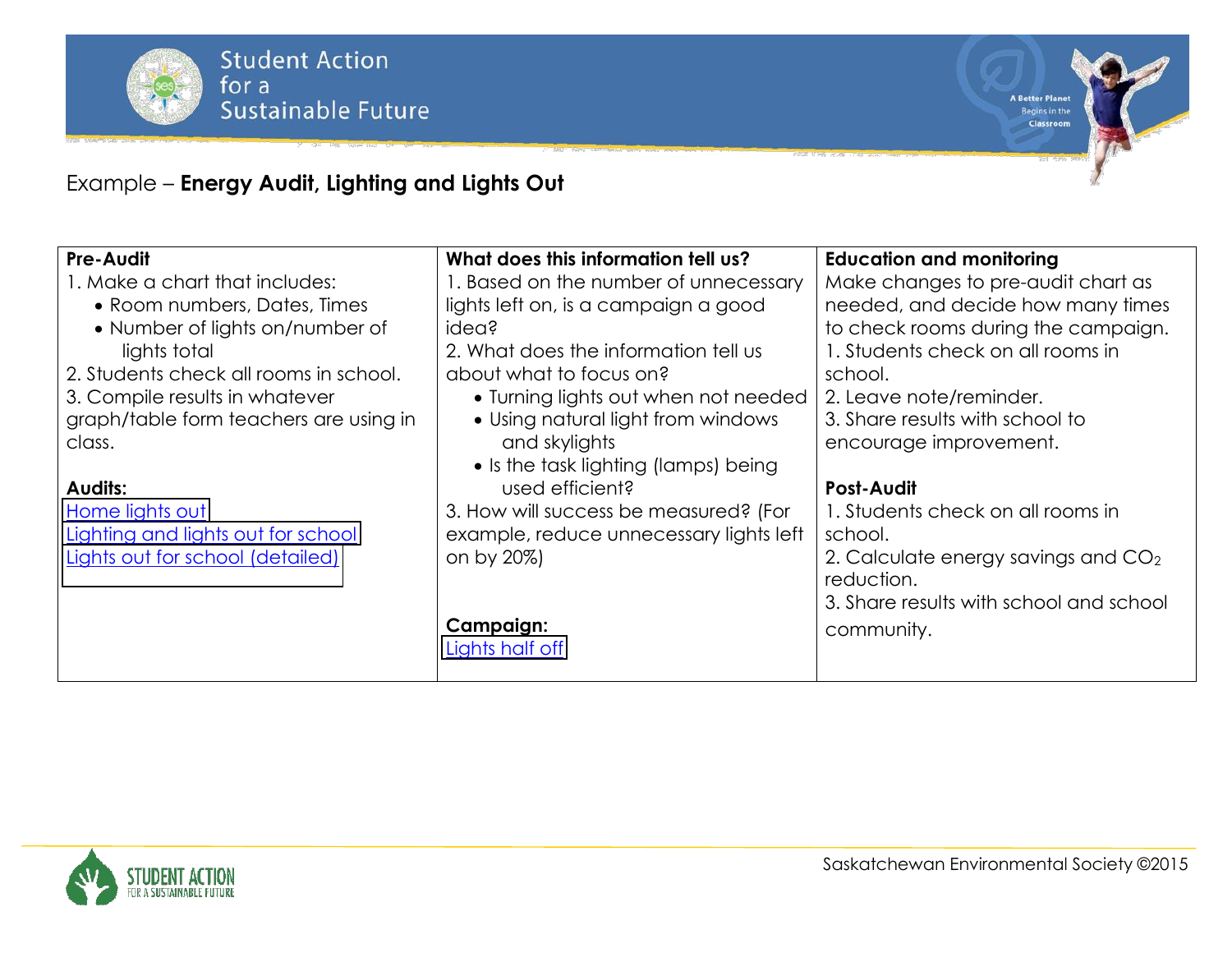

**A Better Planet** Begins in the

Classroom

## Example ² **Energy Audit, Lighting and Lights Out**

| Pre-Audit                              | What does this information tell us?     | <b>Education and monitoring</b>         |
|----------------------------------------|-----------------------------------------|-----------------------------------------|
| 1. Make a chart that includes:         | 1. Based on the number of unnecessary   | Make changes to pre-audit chart as      |
| • Room numbers, Dates, Times           | lights left on, is a campaign a good    | needed, and decide how many times       |
| • Number of lights on/number of        | idea?                                   | to check rooms during the campaign.     |
| lights total                           | 2. What does the information tell us    | 1. Students check on all rooms in       |
| 2. Students check all rooms in school. | about what to focus on?                 | school.                                 |
| 3. Compile results in whatever         | • Turning lights out when not needed    | 2. Leave note/reminder.                 |
| graph/table form teachers are using in | • Using natural light from windows      | 3. Share results with school to         |
| class.                                 | and skylights                           | encourage improvement.                  |
|                                        | • Is the task lighting (lamps) being    |                                         |
| <b>Audits:</b>                         | used efficient?                         | <b>Post-Audit</b>                       |
| Home lights out                        | 3. How will success be measured? (For   | 1. Students check on all rooms in       |
| Lighting and lights out for school     | example, reduce unnecessary lights left | school.                                 |
| Lights out for school (detailed)       | on by 20%)                              | 2. Calculate energy savings and $CO2$   |
|                                        |                                         | reduction.                              |
|                                        |                                         | 3. Share results with school and school |
|                                        | <b>Campaign:</b>                        | community.                              |
|                                        | Lights half off                         |                                         |
|                                        |                                         |                                         |

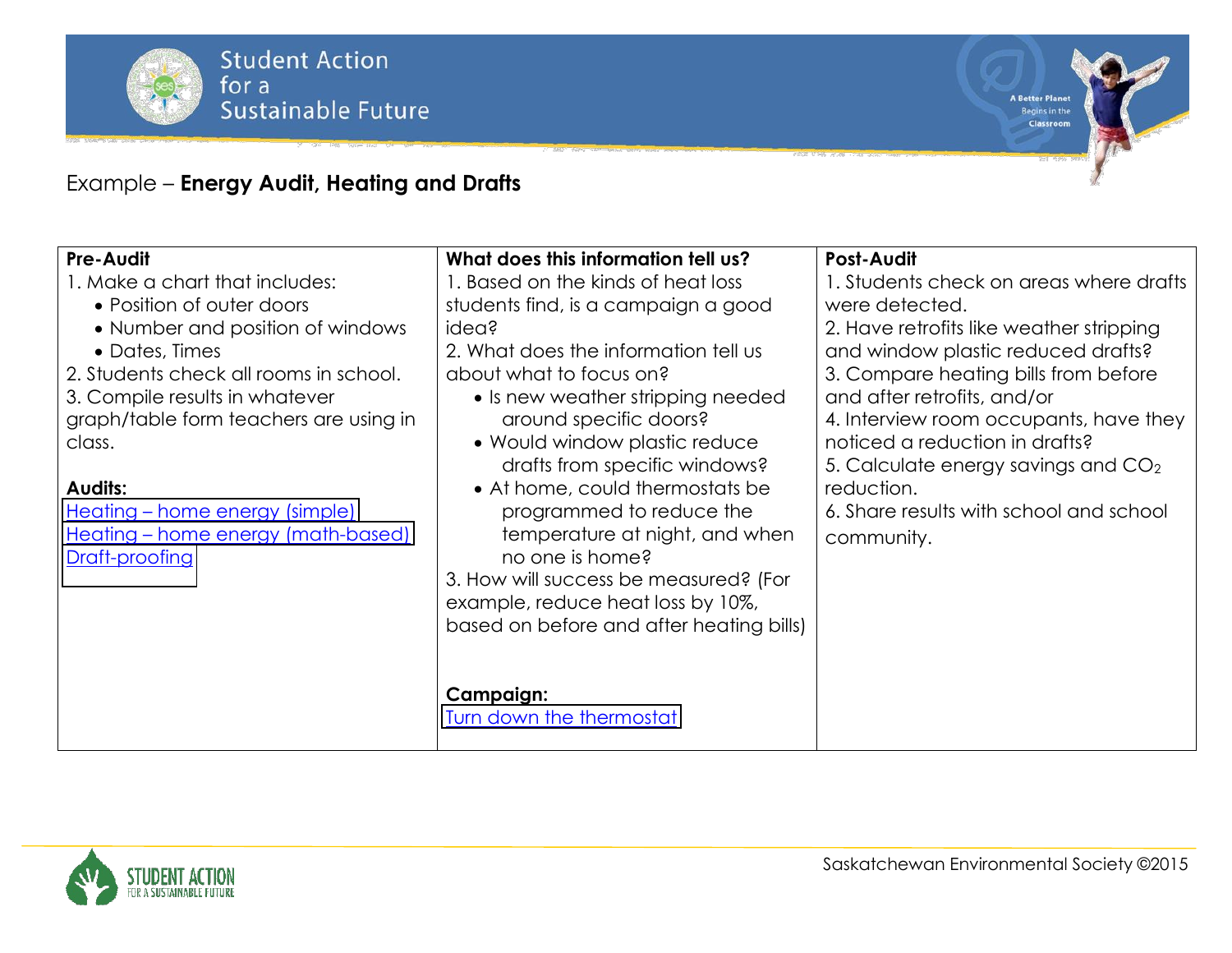

### Example ² **Energy Audit, Heating and Drafts**

| <b>Pre-Audit</b><br>1. Make a chart that includes:                                                                                                                                                    | What does this information tell us?<br>1. Based on the kinds of heat loss                                                                                                      | <b>Post-Audit</b><br>1. Students check on areas where drafts                                                                                                                                                      |
|-------------------------------------------------------------------------------------------------------------------------------------------------------------------------------------------------------|--------------------------------------------------------------------------------------------------------------------------------------------------------------------------------|-------------------------------------------------------------------------------------------------------------------------------------------------------------------------------------------------------------------|
| • Position of outer doors<br>• Number and position of windows<br>• Dates, Times<br>2. Students check all rooms in school.<br>3. Compile results in whatever<br>graph/table form teachers are using in | students find, is a campaign a good<br>idea?<br>2. What does the information tell us<br>about what to focus on?<br>• Is new weather stripping needed<br>around specific doors? | were detected.<br>2. Have retrofits like weather stripping<br>and window plastic reduced drafts?<br>3. Compare heating bills from before<br>and after retrofits, and/or<br>4. Interview room occupants, have they |
| class.                                                                                                                                                                                                | • Would window plastic reduce<br>drafts from specific windows?                                                                                                                 | noticed a reduction in drafts?<br>5. Calculate energy savings and $CO2$                                                                                                                                           |
| <b>Audits:</b>                                                                                                                                                                                        | • At home, could thermostats be                                                                                                                                                | reduction.                                                                                                                                                                                                        |
| <u> Heating – home energy (simple)</u><br><u>Heating – home energy (math-based)</u><br>Draft-proofing                                                                                                 | programmed to reduce the<br>temperature at night, and when<br>no one is home?<br>3. How will success be measured? (For                                                         | 6. Share results with school and school<br>community.                                                                                                                                                             |
|                                                                                                                                                                                                       | example, reduce heat loss by 10%,<br>based on before and after heating bills)                                                                                                  |                                                                                                                                                                                                                   |
|                                                                                                                                                                                                       | <b>Campaign:</b><br>Turn down the thermostat                                                                                                                                   |                                                                                                                                                                                                                   |

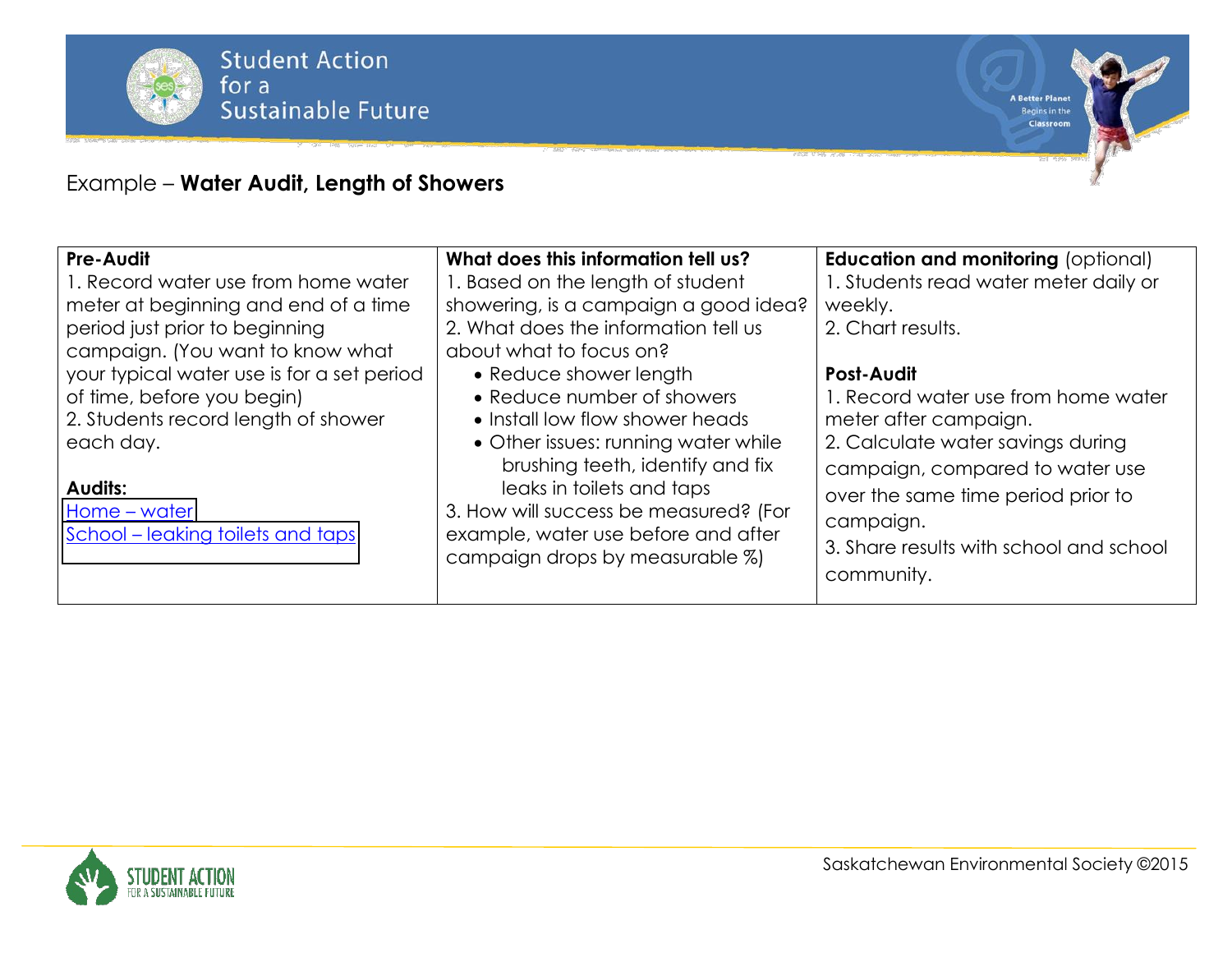

# Example ² **Water Audit, Length of Showers**

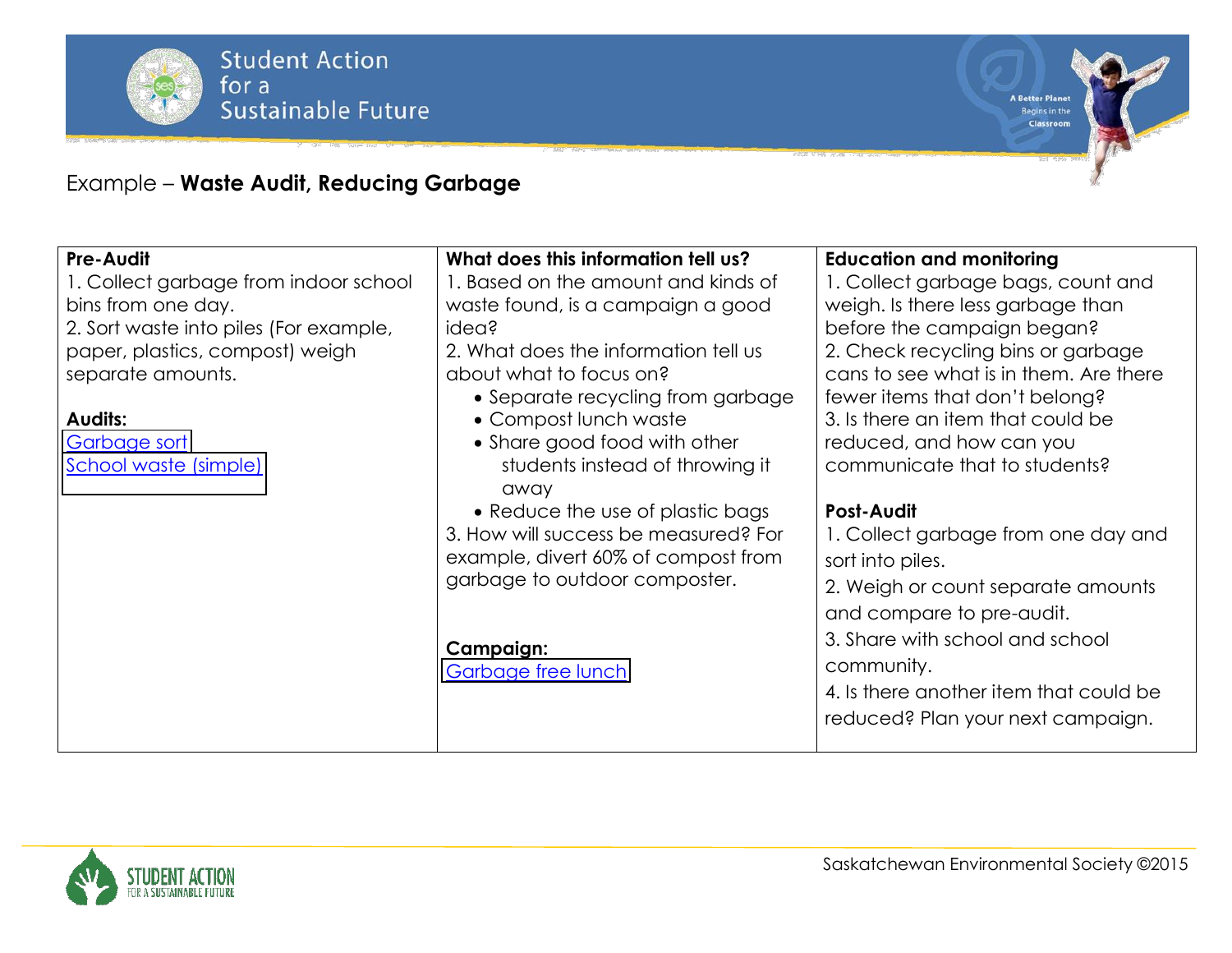

**A Better Planet** Begins in the

Classroom

### Example ² **Waste Audit, Reducing Garbage**

| <b>Pre-Audit</b>                       | What does this information tell us?  | <b>Education and monitoring</b>        |
|----------------------------------------|--------------------------------------|----------------------------------------|
| 1. Collect garbage from indoor school  | 1. Based on the amount and kinds of  | 1. Collect garbage bags, count and     |
| bins from one day.                     | waste found, is a campaign a good    | weigh. Is there less garbage than      |
| 2. Sort waste into piles (For example, | idea?                                | before the campaign began?             |
| paper, plastics, compost) weigh        | 2. What does the information tell us | 2. Check recycling bins or garbage     |
| separate amounts.                      | about what to focus on?              | cans to see what is in them. Are there |
|                                        | • Separate recycling from garbage    | fewer items that don't belong?         |
| <b>Audits:</b>                         | • Compost lunch waste                | 3. Is there an item that could be      |
| Garbage sort                           | • Share good food with other         | reduced, and how can you               |
| School waste (simple)                  | students instead of throwing it      | communicate that to students?          |
|                                        | away                                 |                                        |
|                                        | • Reduce the use of plastic bags     | <b>Post-Audit</b>                      |
|                                        | 3. How will success be measured? For | 1. Collect garbage from one day and    |
|                                        | example, divert 60% of compost from  | sort into piles.                       |
|                                        | garbage to outdoor composter.        | 2. Weigh or count separate amounts     |
|                                        |                                      | and compare to pre-audit.              |
|                                        |                                      | 3. Share with school and school        |
|                                        | Campaign:                            |                                        |
|                                        | Garbage free lunch                   | community.                             |
|                                        |                                      | 4. Is there another item that could be |
|                                        |                                      | reduced? Plan your next campaign.      |
|                                        |                                      |                                        |

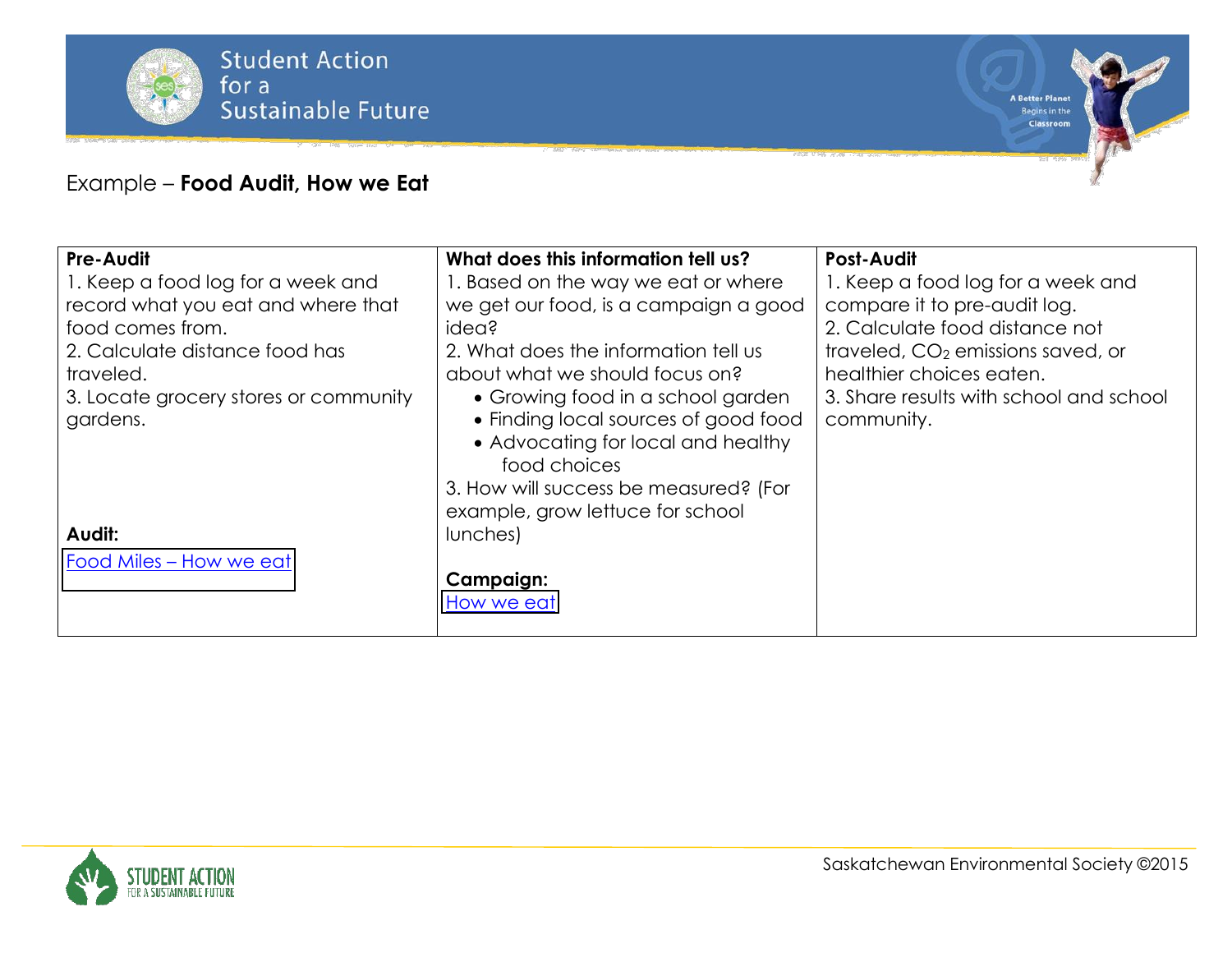

#### Example ² **Food Audit, How we Eat**

| <b>Pre-Audit</b>                      | What does this information tell us?   | <b>Post-Audit</b>                             |
|---------------------------------------|---------------------------------------|-----------------------------------------------|
| 1. Keep a food log for a week and     | 1. Based on the way we eat or where   | 1. Keep a food log for a week and             |
| record what you eat and where that    | we get our food, is a campaign a good | compare it to pre-audit log.                  |
| food comes from.                      | idea?                                 | 2. Calculate food distance not                |
| 2. Calculate distance food has        | 2. What does the information tell us  | traveled, CO <sub>2</sub> emissions saved, or |
| traveled.                             | about what we should focus on?        | healthier choices eaten.                      |
| 3. Locate grocery stores or community | • Growing food in a school garden     | 3. Share results with school and school       |
| gardens.                              | • Finding local sources of good food  | community.                                    |
|                                       | • Advocating for local and healthy    |                                               |
|                                       | food choices                          |                                               |
|                                       | 3. How will success be measured? (For |                                               |
|                                       | example, grow lettuce for school      |                                               |
| Audit:                                | lunches)                              |                                               |
| Food Miles - How we eat               |                                       |                                               |
|                                       | <b>Campaign:</b>                      |                                               |
|                                       | How we eat                            |                                               |
|                                       |                                       |                                               |

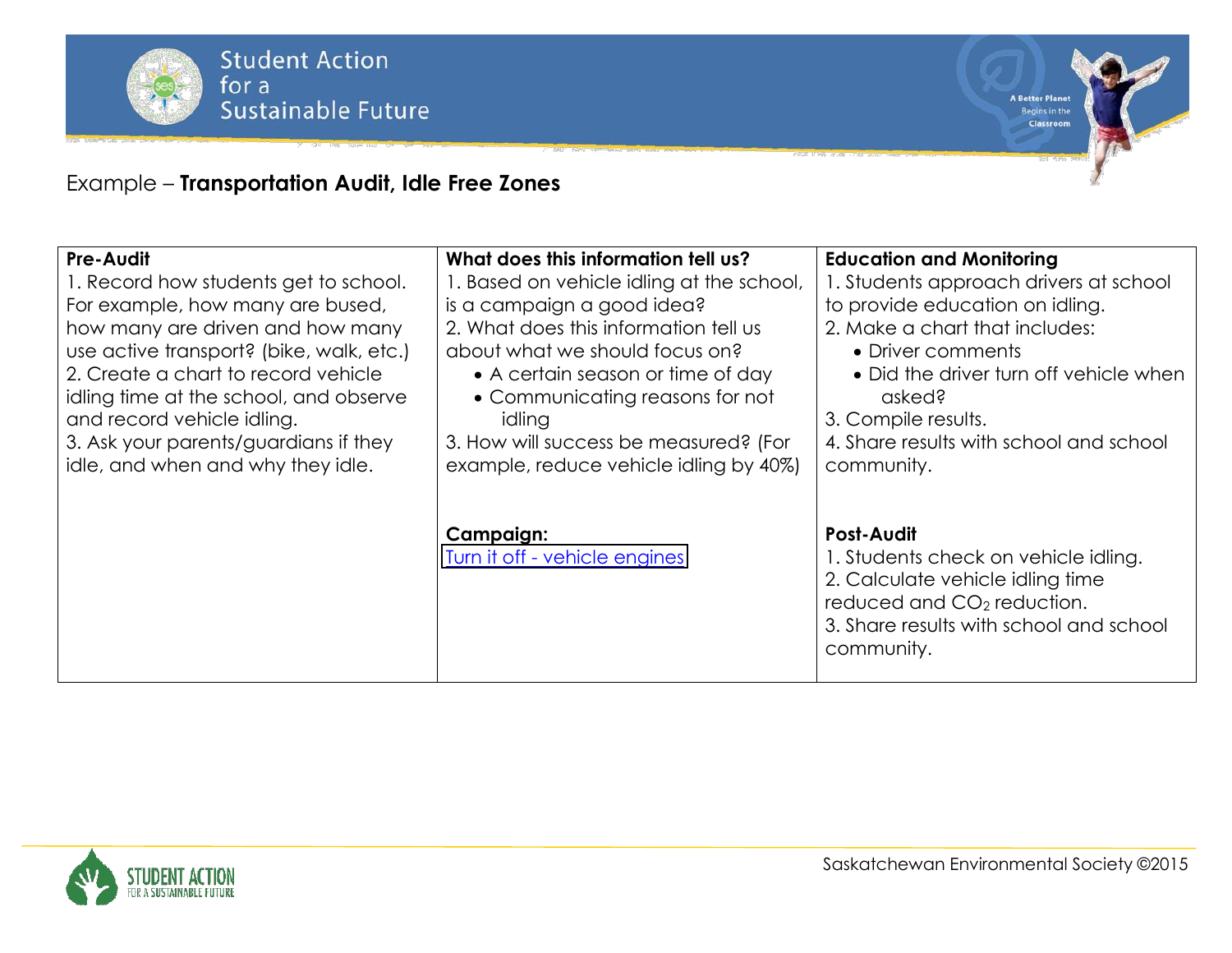

**A Better Planet** Begins in the

Classroom

### Example ² **Transportation Audit, Idle Free Zones**

| Pre-Audit                                | What does this information tell us?        | <b>Education and Monitoring</b>                                                                                                                                                                  |
|------------------------------------------|--------------------------------------------|--------------------------------------------------------------------------------------------------------------------------------------------------------------------------------------------------|
| 1. Record how students get to school.    | 1. Based on vehicle idling at the school,  | 1. Students approach drivers at school                                                                                                                                                           |
| For example, how many are bused,         | is a campaign a good idea?                 | to provide education on idling.                                                                                                                                                                  |
| how many are driven and how many         | 2. What does this information tell us      | 2. Make a chart that includes:                                                                                                                                                                   |
| use active transport? (bike, walk, etc.) | about what we should focus on?             | • Driver comments                                                                                                                                                                                |
| 2. Create a chart to record vehicle      | • A certain season or time of day          | • Did the driver turn off vehicle when                                                                                                                                                           |
| idling time at the school, and observe   | • Communicating reasons for not            | asked?                                                                                                                                                                                           |
| and record vehicle idling.               | idling                                     | 3. Compile results.                                                                                                                                                                              |
| 3. Ask your parents/guardians if they    | 3. How will success be measured? (For      | 4. Share results with school and school                                                                                                                                                          |
| idle, and when and why they idle.        | example, reduce vehicle idling by 40%)     | community.                                                                                                                                                                                       |
|                                          | Campaign:<br>Turn it off - vehicle engines | <b>Post-Audit</b><br>1. Students check on vehicle idling.<br>2. Calculate vehicle idling time<br>reduced and CO <sub>2</sub> reduction.<br>3. Share results with school and school<br>community. |